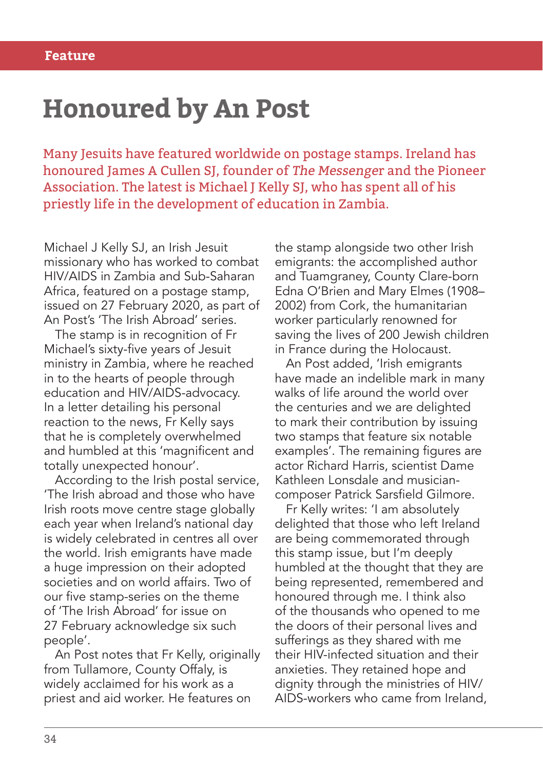## **Honoured by An Post**

Many Jesuits have featured worldwide on postage stamps. Ireland has honoured James A Cullen SJ, founder of The Messenger and the Pioneer Association. The latest is Michael J Kelly SJ, who has spent all of his priestly life in the development of education in Zambia.

Michael J Kelly SJ, an Irish Jesuit missionary who has worked to combat HIV/AIDS in Zambia and Sub-Saharan Africa, featured on a postage stamp, issued on 27 February 2020, as part of An Post's 'The Irish Abroad' series.

The stamp is in recognition of Fr Michael's sixty-five years of Jesuit ministry in Zambia, where he reached in to the hearts of people through education and HIV/AIDS-advocacy. In a letter detailing his personal reaction to the news, Fr Kelly says that he is completely overwhelmed and humbled at this 'magnificent and totally unexpected honour'.

According to the Irish postal service, 'The Irish abroad and those who have Irish roots move centre stage globally each year when Ireland's national day is widely celebrated in centres all over the world. Irish emigrants have made a huge impression on their adopted societies and on world affairs. Two of our five stamp-series on the theme of 'The Irish Abroad' for issue on 27 February acknowledge six such people'.

An Post notes that Fr Kelly, originally from Tullamore, County Offaly, is widely acclaimed for his work as a priest and aid worker. He features on

the stamp alongside two other Irish emigrants: the accomplished author and Tuamgraney, County Clare-born Edna O'Brien and Mary Elmes (1908– 2002) from Cork, the humanitarian worker particularly renowned for saving the lives of 200 Jewish children in France during the Holocaust.

An Post added, 'Irish emigrants have made an indelible mark in many walks of life around the world over the centuries and we are delighted to mark their contribution by issuing two stamps that feature six notable examples'. The remaining figures are actor Richard Harris, scientist Dame Kathleen Lonsdale and musiciancomposer Patrick Sarsfield Gilmore.

Fr Kelly writes: 'I am absolutely delighted that those who left Ireland are being commemorated through this stamp issue, but I'm deeply humbled at the thought that they are being represented, remembered and honoured through me. I think also of the thousands who opened to me the doors of their personal lives and sufferings as they shared with me their HIV-infected situation and their anxieties. They retained hope and dignity through the ministries of HIV/ AIDS-workers who came from Ireland,